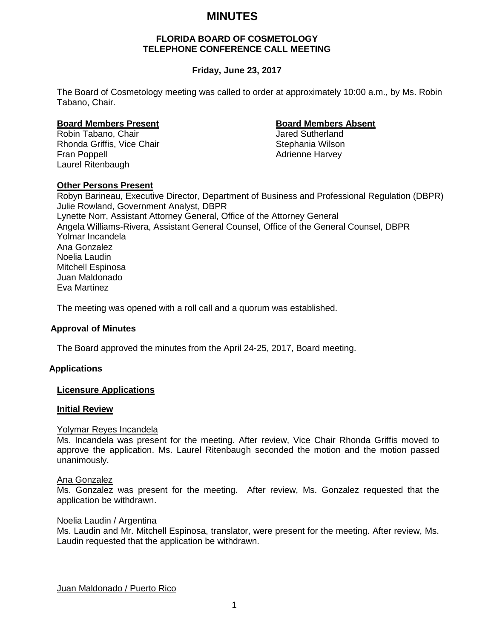# **MINUTES**

#### **FLORIDA BOARD OF COSMETOLOGY TELEPHONE CONFERENCE CALL MEETING**

# **Friday, June 23, 2017**

The Board of Cosmetology meeting was called to order at approximately 10:00 a.m., by Ms. Robin Tabano, Chair.

# **Board Members Present Board Members Absent**

Robin Tabano, Chair Rhonda Griffis, Vice Chair Stephania Wilson Fran Poppell **Adrienne Harvey Adrienne Harvey** Laurel Ritenbaugh

### **Other Persons Present**

Robyn Barineau, Executive Director, Department of Business and Professional Regulation (DBPR) Julie Rowland, Government Analyst, DBPR Lynette Norr, Assistant Attorney General, Office of the Attorney General Angela Williams-Rivera, Assistant General Counsel, Office of the General Counsel, DBPR Yolmar Incandela Ana Gonzalez Noelia Laudin Mitchell Espinosa Juan Maldonado Eva Martinez

The meeting was opened with a roll call and a quorum was established.

#### **Approval of Minutes**

The Board approved the minutes from the April 24-25, 2017, Board meeting.

# **Applications**

#### **Licensure Applications**

#### **Initial Review**

#### Yolymar Reyes Incandela

Ms. Incandela was present for the meeting. After review, Vice Chair Rhonda Griffis moved to approve the application. Ms. Laurel Ritenbaugh seconded the motion and the motion passed unanimously.

#### Ana Gonzalez

Ms. Gonzalez was present for the meeting. After review, Ms. Gonzalez requested that the application be withdrawn.

#### Noelia Laudin / Argentina

Ms. Laudin and Mr. Mitchell Espinosa, translator, were present for the meeting. After review, Ms. Laudin requested that the application be withdrawn.